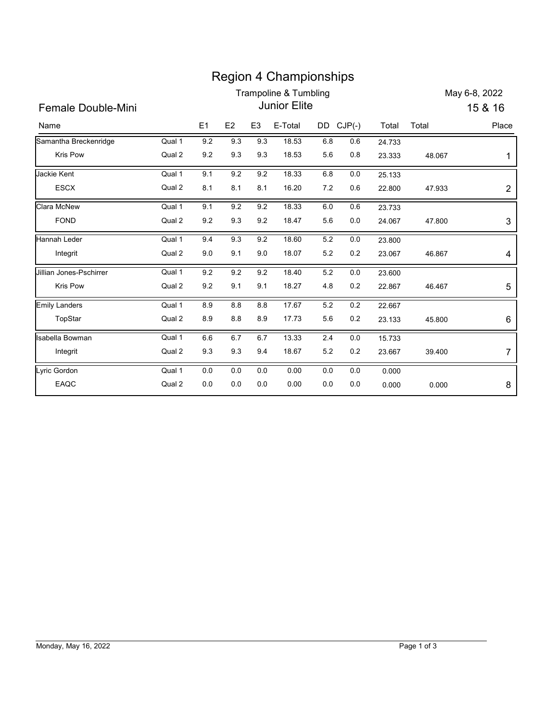|                           |                     |         |         |                | <b>Region 4 Championships</b><br><b>Trampoline &amp; Tumbling</b> |         |           |        |        | May 6-8, 2022 |
|---------------------------|---------------------|---------|---------|----------------|-------------------------------------------------------------------|---------|-----------|--------|--------|---------------|
| <b>Female Double-Mini</b> | <b>Junior Elite</b> |         |         |                |                                                                   |         |           |        |        | 15 & 16       |
| Name                      |                     | E1      | E2      | E <sub>3</sub> | E-Total                                                           |         | DD CJP(-) | Total  | Total  | Place         |
| Samantha Breckenridge     | Qual 1              | 9.2     | 9.3     | 9.3            | 18.53                                                             | 6.8     | $0.6\,$   | 24.733 |        |               |
| Kris Pow                  | Qual 2              | 9.2     | 9.3     | 9.3            | 18.53                                                             | 5.6     | 0.8       | 23.333 | 48.067 | 1             |
| Jackie Kent               | Qual 1              | 9.1     | 9.2     | 9.2            | 18.33                                                             | 6.8     | 0.0       | 25.133 |        |               |
| <b>ESCX</b>               | Qual 2              | 8.1     | 8.1     | 8.1            | 16.20                                                             | $7.2\,$ | 0.6       | 22.800 | 47.933 | 2             |
| Clara McNew               | Qual 1              | 9.1     | 9.2     | 9.2            | 18.33                                                             | $6.0\,$ | 0.6       | 23.733 |        |               |
| <b>FOND</b>               | Qual 2              | 9.2     | 9.3     | 9.2            | 18.47                                                             | 5.6     | 0.0       | 24.067 | 47.800 | 3             |
| Hannah Leder              | Qual 1              | 9.4     | 9.3     | 9.2            | 18.60                                                             | 5.2     | 0.0       | 23.800 |        |               |
| Integrit                  | Qual 2              | 9.0     | 9.1     | 9.0            | 18.07                                                             | 5.2     | 0.2       | 23.067 | 46.867 | 4             |
| Jillian Jones-Pschirrer   | Qual 1              | 9.2     | 9.2     | 9.2            | 18.40                                                             | 5.2     | 0.0       | 23.600 |        |               |
| Kris Pow                  | Qual 2              | 9.2     | 9.1     | 9.1            | 18.27                                                             | 4.8     | 0.2       | 22.867 | 46.467 | 5             |
| <b>Emily Landers</b>      | Qual 1              | 8.9     | $8.8\,$ | $8.8\,$        | 17.67                                                             | 5.2     | $0.2\,$   | 22.667 |        |               |
| TopStar                   | Qual 2              | $8.9\,$ | $8.8\,$ | $8.9\,$        | 17.73                                                             | $5.6\,$ | 0.2       | 23.133 | 45.800 | 6             |
| Isabella Bowman           | Qual 1              | $6.6\,$ | $6.7\,$ | 6.7            | 13.33                                                             | 2.4     | $0.0\,$   | 15.733 |        |               |
| Integrit                  | Qual 2              | $9.3\,$ | 9.3     | 9.4            | 18.67                                                             | $5.2\,$ | 0.2       | 23.667 | 39.400 | 7             |
| Lyric Gordon              | Qual 1              | $0.0\,$ | $0.0\,$ | $0.0\,$        | 0.00                                                              | $0.0\,$ | $0.0\,$   | 0.000  |        |               |
| EAQC                      | Qual 2              | $0.0\,$ | $0.0\,$ | $0.0\,$        | 0.00                                                              | $0.0\,$ | $0.0\,$   | 0.000  | 0.000  | 8             |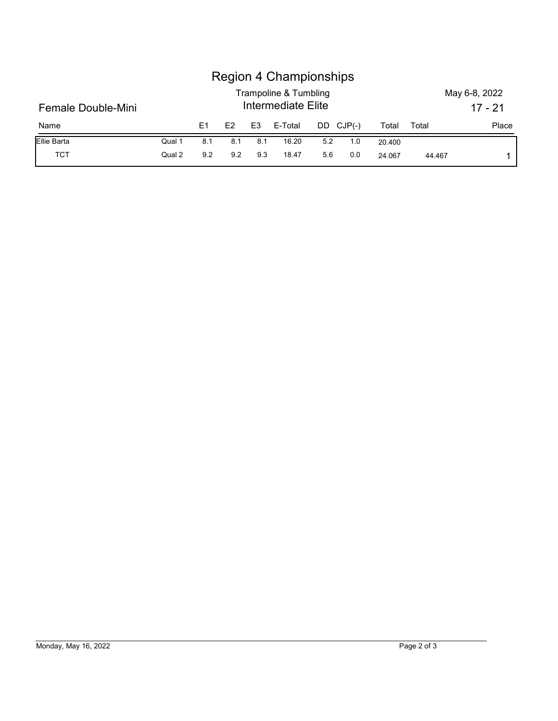|                    |        |                | <b>Region 4 Championships</b> |                |                                             |         |          |        |       |                            |
|--------------------|--------|----------------|-------------------------------|----------------|---------------------------------------------|---------|----------|--------|-------|----------------------------|
| Female Double-Mini |        |                |                               |                | Trampoline & Tumbling<br>Intermediate Elite |         |          |        |       | May 6-8, 2022<br>$17 - 21$ |
| Name               |        | E <sub>1</sub> | E2                            | E <sub>3</sub> | E-Total                                     | DD      | $CJP(-)$ | Total  | Total | Place                      |
| Ellie Barta        | Qual 1 | 8.1            | 8.1                           | 8.1            | 16.20                                       | $5.2\,$ | 1.0      | 20.400 |       |                            |